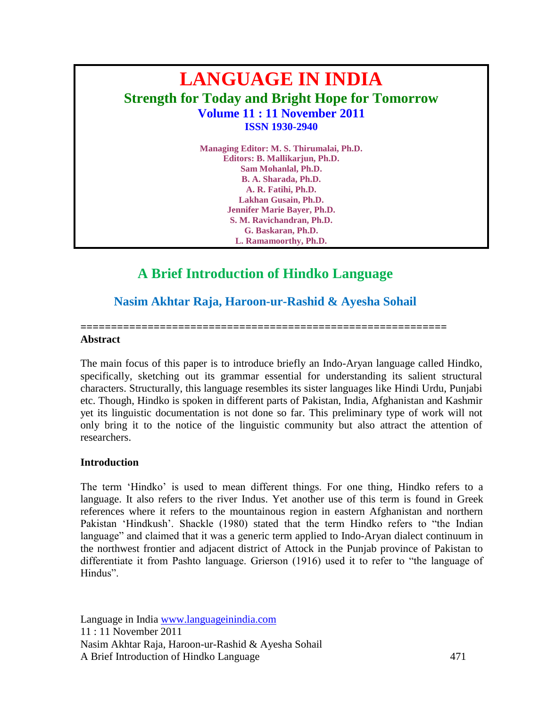# **LANGUAGE IN INDIA Strength for Today and Bright Hope for Tomorrow Volume 11 : 11 November 2011 ISSN 1930-2940**

**Managing Editor: M. S. Thirumalai, Ph.D. Editors: B. Mallikarjun, Ph.D. Sam Mohanlal, Ph.D. B. A. Sharada, Ph.D. A. R. Fatihi, Ph.D. Lakhan Gusain, Ph.D. Jennifer Marie Bayer, Ph.D. S. M. Ravichandran, Ph.D. G. Baskaran, Ph.D. L. Ramamoorthy, Ph.D.**

## **A Brief Introduction of Hindko Language**

## **Nasim Akhtar Raja, Haroon-ur-Rashid & Ayesha Sohail**

**============================================================**

#### **Abstract**

The main focus of this paper is to introduce briefly an Indo-Aryan language called Hindko, specifically, sketching out its grammar essential for understanding its salient structural characters. Structurally, this language resembles its sister languages like Hindi Urdu, Punjabi etc. Though, Hindko is spoken in different parts of Pakistan, India, Afghanistan and Kashmir yet its linguistic documentation is not done so far. This preliminary type of work will not only bring it to the notice of the linguistic community but also attract the attention of researchers.

### **Introduction**

The term "Hindko" is used to mean different things. For one thing, Hindko refers to a language. It also refers to the river Indus. Yet another use of this term is found in Greek references where it refers to the mountainous region in eastern Afghanistan and northern Pakistan 'Hindkush'. Shackle (1980) stated that the term Hindko refers to "the Indian language" and claimed that it was a generic term applied to Indo-Aryan dialect continuum in the northwest frontier and adjacent district of Attock in the Punjab province of Pakistan to differentiate it from Pashto language. Grierson (1916) used it to refer to "the language of Hindus".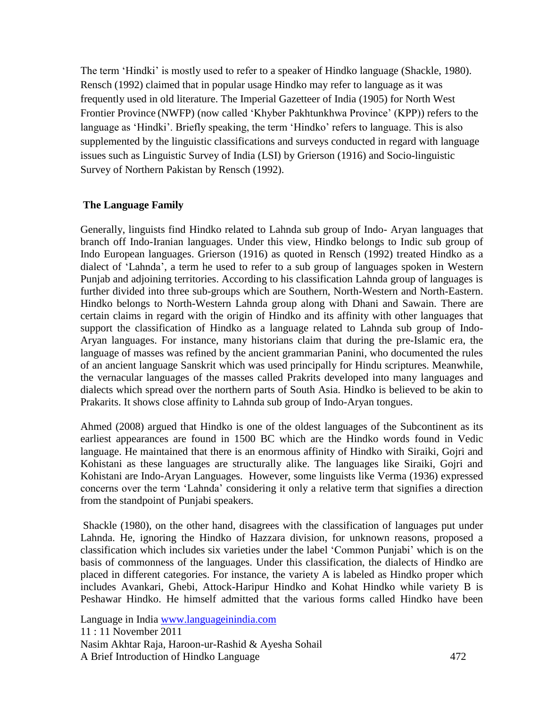The term "Hindki" is mostly used to refer to a speaker of Hindko language (Shackle, 1980). Rensch (1992) claimed that in popular usage Hindko may refer to language as it was frequently used in old literature. The Imperial Gazetteer of India (1905) for North West Frontier Province (NWFP) (now called 'Khyber Pakhtunkhwa Province' (KPP)) refers to the language as 'Hindki'. Briefly speaking, the term 'Hindko' refers to language. This is also supplemented by the linguistic classifications and surveys conducted in regard with language issues such as Linguistic Survey of India (LSI) by Grierson (1916) and Socio-linguistic Survey of Northern Pakistan by Rensch (1992).

## **The Language Family**

Generally, linguists find Hindko related to Lahnda sub group of Indo- Aryan languages that branch off Indo-Iranian languages. Under this view, Hindko belongs to Indic sub group of Indo European languages. Grierson (1916) as quoted in Rensch (1992) treated Hindko as a dialect of "Lahnda", a term he used to refer to a sub group of languages spoken in Western Punjab and adjoining territories. According to his classification Lahnda group of languages is further divided into three sub-groups which are Southern, North-Western and North-Eastern. Hindko belongs to North-Western Lahnda group along with Dhani and Sawain. There are certain claims in regard with the origin of Hindko and its affinity with other languages that support the classification of Hindko as a language related to Lahnda sub group of Indo-Aryan languages. For instance, many historians claim that during the pre-Islamic era, the language of masses was refined by the ancient grammarian Panini, who documented the rules of an ancient language Sanskrit which was used principally for Hindu scriptures. Meanwhile, the vernacular languages of the masses called Prakrits developed into many languages and dialects which spread over the northern parts of South Asia. Hindko is believed to be akin to Prakarits. It shows close affinity to Lahnda sub group of Indo-Aryan tongues.

Ahmed (2008) argued that Hindko is one of the oldest languages of the Subcontinent as its earliest appearances are found in 1500 BC which are the Hindko words found in Vedic language. He maintained that there is an enormous affinity of Hindko with Siraiki, Gojri and Kohistani as these languages are structurally alike. The languages like Siraiki, Gojri and Kohistani are Indo-Aryan Languages. However, some linguists like Verma (1936) expressed concerns over the term "Lahnda" considering it only a relative term that signifies a direction from the standpoint of Punjabi speakers.

Shackle (1980), on the other hand, disagrees with the classification of languages put under Lahnda. He, ignoring the Hindko of Hazzara division, for unknown reasons, proposed a classification which includes six varieties under the label "Common Punjabi" which is on the basis of commonness of the languages. Under this classification, the dialects of Hindko are placed in different categories. For instance, the variety A is labeled as Hindko proper which includes Avankari, Ghebi, Attock-Haripur Hindko and Kohat Hindko while variety B is Peshawar Hindko. He himself admitted that the various forms called Hindko have been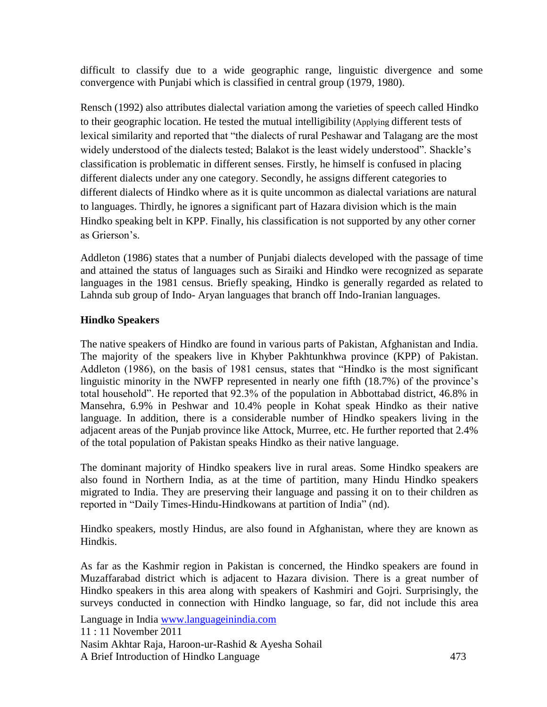difficult to classify due to a wide geographic range, linguistic divergence and some convergence with Punjabi which is classified in central group (1979, 1980).

Rensch (1992) also attributes dialectal variation among the varieties of speech called Hindko to their geographic location. He tested the mutual intelligibility (Applying different tests of lexical similarity and reported that "the dialects of rural Peshawar and Talagang are the most widely understood of the dialects tested; Balakot is the least widely understood". Shackle"s classification is problematic in different senses. Firstly, he himself is confused in placing different dialects under any one category. Secondly, he assigns different categories to different dialects of Hindko where as it is quite uncommon as dialectal variations are natural to languages. Thirdly, he ignores a significant part of Hazara division which is the main Hindko speaking belt in KPP. Finally, his classification is not supported by any other corner as Grierson"s.

Addleton (1986) states that a number of Punjabi dialects developed with the passage of time and attained the status of languages such as Siraiki and Hindko were recognized as separate languages in the 1981 census. Briefly speaking, Hindko is generally regarded as related to Lahnda sub group of Indo- Aryan languages that branch off Indo-Iranian languages.

## **Hindko Speakers**

The native speakers of Hindko are found in various parts of Pakistan, Afghanistan and India. The majority of the speakers live in Khyber Pakhtunkhwa province (KPP) of Pakistan. Addleton (1986), on the basis of 1981 census, states that "Hindko is the most significant linguistic minority in the NWFP represented in nearly one fifth (18.7%) of the province's total household". He reported that 92.3% of the population in Abbottabad district, 46.8% in Mansehra, 6.9% in Peshwar and 10.4% people in Kohat speak Hindko as their native language. In addition, there is a considerable number of Hindko speakers living in the adjacent areas of the Punjab province like Attock, Murree, etc. He further reported that 2.4% of the total population of Pakistan speaks Hindko as their native language.

The dominant majority of Hindko speakers live in rural areas. Some Hindko speakers are also found in Northern India, as at the time of partition, many Hindu Hindko speakers migrated to India. They are preserving their language and passing it on to their children as reported in "Daily Times-Hindu-Hindkowans at partition of India" (nd).

Hindko speakers, mostly Hindus, are also found in Afghanistan, where they are known as Hindkis.

As far as the Kashmir region in Pakistan is concerned, the Hindko speakers are found in Muzaffarabad district which is adjacent to Hazara division. There is a great number of Hindko speakers in this area along with speakers of Kashmiri and Gojri. Surprisingly, the surveys conducted in connection with Hindko language, so far, did not include this area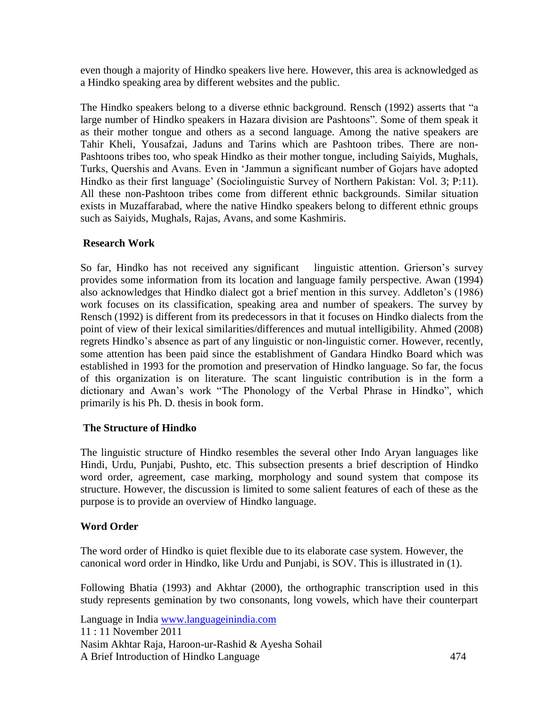even though a majority of Hindko speakers live here. However, this area is acknowledged as a Hindko speaking area by different websites and the public.

The Hindko speakers belong to a diverse ethnic background. Rensch (1992) asserts that "a large number of Hindko speakers in Hazara division are Pashtoons". Some of them speak it as their mother tongue and others as a second language. Among the native speakers are Tahir Kheli, Yousafzai, Jaduns and Tarins which are Pashtoon tribes. There are non-Pashtoons tribes too, who speak Hindko as their mother tongue, including Saiyids, Mughals, Turks, Quershis and Avans. Even in "Jammun a significant number of Gojars have adopted Hindko as their first language' (Sociolinguistic Survey of Northern Pakistan: Vol. 3; P:11). All these non-Pashtoon tribes come from different ethnic backgrounds. Similar situation exists in Muzaffarabad, where the native Hindko speakers belong to different ethnic groups such as Saiyids, Mughals, Rajas, Avans, and some Kashmiris.

## **Research Work**

So far, Hindko has not received any significant linguistic attention. Grierson"s survey provides some information from its location and language family perspective. Awan (1994) also acknowledges that Hindko dialect got a brief mention in this survey. Addleton"s (1986) work focuses on its classification, speaking area and number of speakers. The survey by Rensch (1992) is different from its predecessors in that it focuses on Hindko dialects from the point of view of their lexical similarities/differences and mutual intelligibility. Ahmed (2008) regrets Hindko"s absence as part of any linguistic or non-linguistic corner. However, recently, some attention has been paid since the establishment of Gandara Hindko Board which was established in 1993 for the promotion and preservation of Hindko language. So far, the focus of this organization is on literature. The scant linguistic contribution is in the form a dictionary and Awan"s work "The Phonology of the Verbal Phrase in Hindko", which primarily is his Ph. D. thesis in book form.

## **The Structure of Hindko**

The linguistic structure of Hindko resembles the several other Indo Aryan languages like Hindi, Urdu, Punjabi, Pushto, etc. This subsection presents a brief description of Hindko word order, agreement, case marking, morphology and sound system that compose its structure. However, the discussion is limited to some salient features of each of these as the purpose is to provide an overview of Hindko language.

## **Word Order**

The word order of Hindko is quiet flexible due to its elaborate case system. However, the canonical word order in Hindko, like Urdu and Punjabi, is SOV. This is illustrated in (1).

Following Bhatia (1993) and Akhtar (2000), the orthographic transcription used in this study represents gemination by two consonants, long vowels, which have their counterpart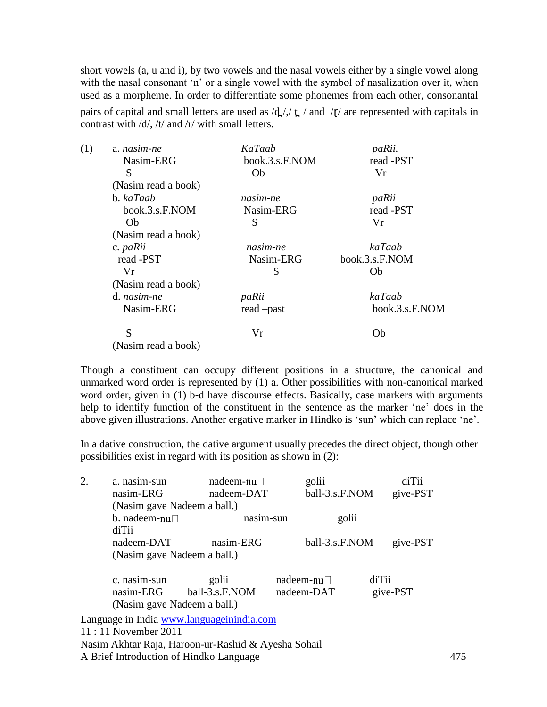short vowels (a, u and i), by two vowels and the nasal vowels either by a single vowel along with the nasal consonant 'n' or a single vowel with the symbol of nasalization over it, when used as a morpheme. In order to differentiate some phonemes from each other, consonantal

pairs of capital and small letters are used as  $\frac{d}{dx}$ ,  $\frac{d}{dx}$  and  $\frac{d}{dx}$  are represented with capitals in contrast with  $/d/$ ,  $/t/$  and  $/r/$  with small letters.

| (1) | a. nasim-ne         | KaTaab         | paRii.         |
|-----|---------------------|----------------|----------------|
|     | Nasim-ERG           | book.3.s.F.NOM | read -PST      |
|     | S                   | Ob             | Vr             |
|     | (Nasim read a book) |                |                |
|     | b. kaTaab           | nasim-ne       | paRii          |
|     | book.3.s.F.NOM      | Nasim-ERG      | read -PST      |
|     | Ob                  | S              | Vr             |
|     | (Nasim read a book) |                |                |
|     | c. paRii            | nasim-ne       | kaTaab         |
|     | read -PST           | Nasim-ERG      | book.3.s.F.NOM |
|     | Vr                  | S              | Ob             |
|     | (Nasim read a book) |                |                |
|     | d. nasim-ne         | paRii          | kaTaab         |
|     | Nasim-ERG           | read – past    | book.3.s.F.NOM |
|     | S                   | Vr             | Ob             |
|     | (Nasim read a book) |                |                |

Though a constituent can occupy different positions in a structure, the canonical and unmarked word order is represented by (1) a. Other possibilities with non-canonical marked word order, given in (1) b-d have discourse effects. Basically, case markers with arguments help to identify function of the constituent in the sentence as the marker 'ne' does in the above given illustrations. Another ergative marker in Hindko is 'sun' which can replace 'ne'.

In a dative construction, the dative argument usually precedes the direct object, though other possibilities exist in regard with its position as shown in (2):

| 2. | a. nasim-sun                                             | $nadeem-nu$             | golii                                |       | diTii    |     |
|----|----------------------------------------------------------|-------------------------|--------------------------------------|-------|----------|-----|
|    | nasim-ERG                                                | nadeem-DAT              | ball-3.s.F.NOM                       |       | give-PST |     |
|    | (Nasim gave Nadeem a ball.)                              |                         |                                      |       |          |     |
|    | b. nadeem-nu $\square$<br>diTii                          | nasim-sun               | golii                                |       |          |     |
|    | nadeem-DAT                                               | nasim-ERG               | ball-3.s.F.NOM                       |       | give-PST |     |
|    | (Nasim gave Nadeem a ball.)                              |                         |                                      |       |          |     |
|    | c. nasim-sun<br>nasim-ERG<br>(Nasim gave Nadeem a ball.) | golii<br>ball-3.s.F.NOM | $n$ adeem-nu $\square$<br>nadeem-DAT | diTii | give-PST |     |
|    | Language in India www.languageinindia.com                |                         |                                      |       |          |     |
|    | $11:11$ November 2011                                    |                         |                                      |       |          |     |
|    | Nasim Akhtar Raja, Haroon-ur-Rashid & Ayesha Sohail      |                         |                                      |       |          |     |
|    | A Brief Introduction of Hindko Language                  |                         |                                      |       |          | 475 |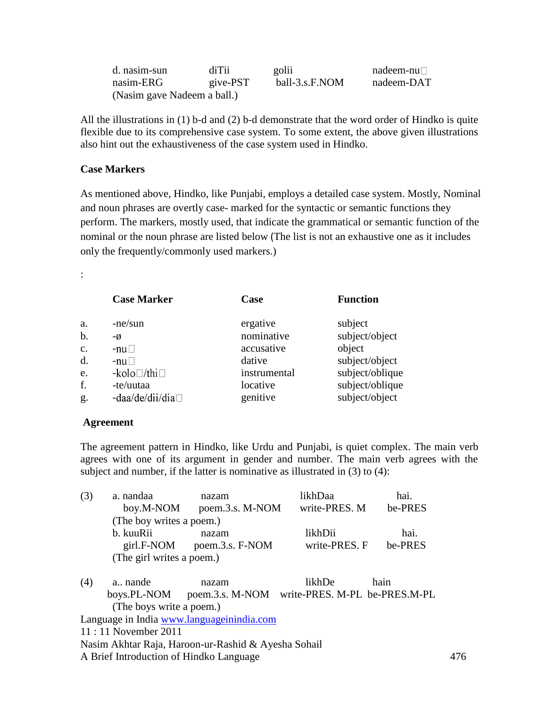| d. nasim-sun                | diTii    | golii          | $nadeem-nu$ |
|-----------------------------|----------|----------------|-------------|
| nasim-ERG                   | give-PST | ball-3.s.F.NOM | nadeem-DAT  |
| (Nasim gave Nadeem a ball.) |          |                |             |

All the illustrations in (1) b-d and (2) b-d demonstrate that the word order of Hindko is quite flexible due to its comprehensive case system. To some extent, the above given illustrations also hint out the exhaustiveness of the case system used in Hindko.

## **Case Markers**

As mentioned above, Hindko, like Punjabi, employs a detailed case system. Mostly, Nominal and noun phrases are overtly case- marked for the syntactic or semantic functions they perform. The markers, mostly used, that indicate the grammatical or semantic function of the nominal or the noun phrase are listed below (The list is not an exhaustive one as it includes only the frequently/commonly used markers.)

:

|                | <b>Case Marker</b>         | Case         | <b>Function</b> |
|----------------|----------------------------|--------------|-----------------|
| a.             | $-ne/sun$                  | ergative     | subject         |
| b.             | -ø                         | nominative   | subject/object  |
| $\mathbf{C}$ . | $-nu$                      | accusative   | object          |
| d.             | $-nu\square$               | dative       | subject/object  |
| e.             | $-kolo$ $\Box$ /thi $\Box$ | instrumental | subject/oblique |
| f.             | -te/uutaa                  | locative     | subject/oblique |
| g.             | -daa/de/dii/dia□           | genitive     | subject/object  |

### **Agreement**

The agreement pattern in Hindko, like Urdu and Punjabi, is quiet complex. The main verb agrees with one of its argument in gender and number. The main verb agrees with the subject and number, if the latter is nominative as illustrated in (3) to (4):

| (3) | a. nandaa                               | nazam                                               | likhDaa       | hai.    |     |
|-----|-----------------------------------------|-----------------------------------------------------|---------------|---------|-----|
|     | boy.M-NOM                               | poem.3.s. M-NOM                                     | write-PRES. M | be-PRES |     |
|     | (The boy writes a poem.)                |                                                     |               |         |     |
|     | b. kuuRii                               | nazam                                               | likhDii       | hai.    |     |
|     | girl.F-NOM                              | $poem.3.s. F-NOM$                                   | write-PRES. F | be-PRES |     |
|     | (The girl writes a poem.)               |                                                     |               |         |     |
| (4) | a nande                                 | nazam                                               | likhDe        | hain    |     |
|     | boys.PL-NOM                             | poem.3.s. M-NOM write-PRES. M-PL be-PRES.M-PL       |               |         |     |
|     | (The boys write a poem.)                |                                                     |               |         |     |
|     |                                         | Language in India www.languageinindia.com           |               |         |     |
|     | $11:11$ November 2011                   |                                                     |               |         |     |
|     |                                         | Nasim Akhtar Raja, Haroon-ur-Rashid & Ayesha Sohail |               |         |     |
|     | A Brief Introduction of Hindko Language |                                                     |               |         | 476 |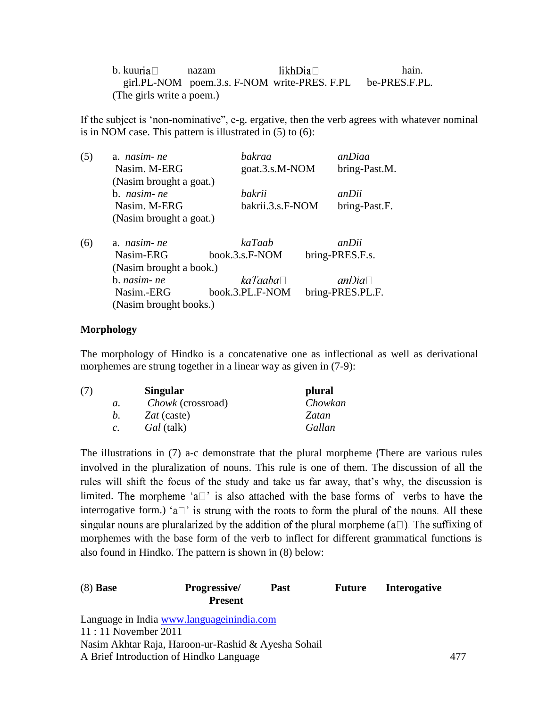$\mathbf{b}$ . kuuria $\Box$  hain. girl.PL-NOM poem.3.s. F-NOM write-PRES. F.PL be-PRES.F.PL. (The girls write a poem.)

If the subject is "non-nominative", e-g. ergative, then the verb agrees with whatever nominal is in NOM case. This pattern is illustrated in (5) to (6):

| (5) | a. <i>nasim-ne</i>      | bakraa           | anDiaa           |  |
|-----|-------------------------|------------------|------------------|--|
|     | Nasim. M-ERG            | goat.3.s.M-NOM   | bring-Past.M.    |  |
|     | (Nasim brought a goat.) |                  |                  |  |
|     | b. nasim-ne             | bakrii           | anDii            |  |
|     | Nasim. M-ERG            | bakrii.3.s.F-NOM | bring-Past.F.    |  |
|     | (Nasim brought a goat.) |                  |                  |  |
| (6) | a. nasim-ne             | kaTaab           | anDii            |  |
|     | Nasim-ERG               | book.3.s.F-NOM   | bring-PRES.F.s.  |  |
|     | (Nasim brought a book.) |                  |                  |  |
|     | b. nasim- ne            | $ka Taaba \Box$  | an Dia           |  |
|     | Nasim.-ERG              | book.3.PL.F-NOM  | bring-PRES.PL.F. |  |
|     | (Nasim brought books.)  |                  |                  |  |

### **Morphology**

The morphology of Hindko is a concatenative one as inflectional as well as derivational morphemes are strung together in a linear way as given in  $(7-9)$ :

| (7) |                 | <b>Singular</b>          | plural  |
|-----|-----------------|--------------------------|---------|
|     | a.              | <i>Chowk</i> (crossroad) | Chowkan |
|     |                 | Zat (caste)              | Zatan   |
|     | $\mathcal{C}$ . | Gal (talk)               | Gallan  |

The illustrations in (7) a-c demonstrate that the plural morpheme (There are various rules involved in the pluralization of nouns. This rule is one of them. The discussion of all the rules will shift the focus of the study and take us far away, that's why, the discussion is limited. The morpheme 'a $\square$ ' is also attached with the base forms of verbs to have the interrogative form.) 'a $\Box$ ' is strung with the roots to form the plural of the nouns. All these singular nouns are pluralarized by the addition of the plural morpheme ( $a\Box$ ). The suffixing of morphemes with the base form of the verb to inflect for different grammatical functions is also found in Hindko. The pattern is shown in (8) below:

| $(8)$ Base          | <b>Progressive</b>                                  | Past | <b>Future</b> | Interogative |  |
|---------------------|-----------------------------------------------------|------|---------------|--------------|--|
|                     | <b>Present</b>                                      |      |               |              |  |
|                     | Language in India www.languageinindia.com           |      |               |              |  |
| 11:11 November 2011 |                                                     |      |               |              |  |
|                     | Nasim Akhtar Raja, Haroon-ur-Rashid & Ayesha Sohail |      |               |              |  |
|                     | A Brief Introduction of Hindko Language             |      |               |              |  |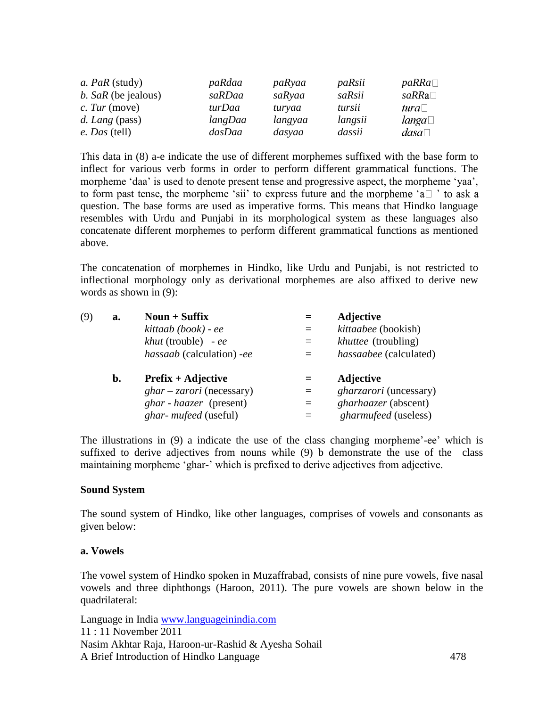| a. PaR (study)      | paRdaa  | paRyaa  | paRsii  | paRRa         |
|---------------------|---------|---------|---------|---------------|
| b. SaR (be jealous) | saRDaa  | saRyaa  | saRsii  | saRRa         |
| c. Tur (move)       | turDaa  | turyaa  | tursii  | tura          |
| d. Lang (pass)      | langDaa | langyaa | langsii | langa         |
| e. Das (tell)       | dasDaa  | dasyaa  | dassii  | $dasa\square$ |

This data in (8) a-e indicate the use of different morphemes suffixed with the base form to inflect for various verb forms in order to perform different grammatical functions. The morpheme 'daa' is used to denote present tense and progressive aspect, the morpheme 'yaa', to form past tense, the morpheme 'sii' to express future and the morpheme ' $a\Box$ ' to ask a question. The base forms are used as imperative forms. This means that Hindko language resembles with Urdu and Punjabi in its morphological system as these languages also concatenate different morphemes to perform different grammatical functions as mentioned above.

The concatenation of morphemes in Hindko, like Urdu and Punjabi, is not restricted to inflectional morphology only as derivational morphemes are also affixed to derive new words as shown in (9):

| (9) | a.             | Noun $+$ Suffix             |          | <b>Adjective</b>            |
|-----|----------------|-----------------------------|----------|-----------------------------|
|     |                | kittaab (book) - ee         | $=$      | kittaabee (bookish)         |
|     |                | khut (trouble) - ee         | $=$      | khuttee (troubling)         |
|     |                | hassaab (calculation) -ee   | $\equiv$ | hassaabee (calculated)      |
|     | $\mathbf{b}$ . | $Prefix + Adjective$        |          | <b>Adjective</b>            |
|     |                | $ghar - zarori$ (necessary) | $=$      | gharzarori (uncessary)      |
|     |                | ghar - haazer (present)     | $=$      | <i>gharhaazer</i> (abscent) |
|     |                | <i>ghar-mufeed</i> (useful) |          | <i>gharmufeed</i> (useless) |
|     |                |                             |          |                             |

The illustrations in (9) a indicate the use of the class changing morpheme'-ee' which is suffixed to derive adjectives from nouns while (9) b demonstrate the use of the class maintaining morpheme "ghar-" which is prefixed to derive adjectives from adjective.

### **Sound System**

The sound system of Hindko, like other languages, comprises of vowels and consonants as given below:

#### **a. Vowels**

The vowel system of Hindko spoken in Muzaffrabad, consists of nine pure vowels, five nasal vowels and three diphthongs (Haroon, 2011). The pure vowels are shown below in the quadrilateral: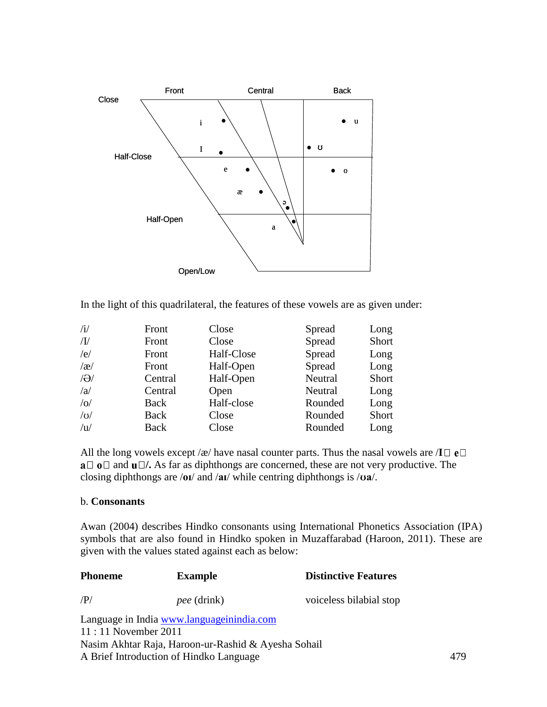

In the light of this quadrilateral, the features of these vowels are as given under:

| $\sqrt{1}$ | Front       | Close      | Spread  | Long  |
|------------|-------------|------------|---------|-------|
| $\sqrt{L}$ | Front       | Close      | Spread  | Short |
| /e/        | Front       | Half-Close | Spread  | Long  |
| $\alpha$   | Front       | Half-Open  | Spread  | Long  |
| $\Theta$   | Central     | Half-Open  | Neutral | Short |
| /a         | Central     | Open       | Neutral | Long  |
| o          | Back        | Half-close | Rounded | Long  |
| $\sqrt{Q}$ | Back        | Close      | Rounded | Short |
| /u/        | <b>Back</b> | Close      | Rounded | Long  |
|            |             |            |         |       |

All the long vowels except /æ/ have nasal counter parts. Thus the nasal vowels are  $\Lambda \Box$   $\mathbf{e} \Box$  $a \Box o \Box$  and  $u \Box$ . As far as diphthongs are concerned, these are not very productive. The closing diphthongs are /**oɪ**/ and /**aɪ**/ while centring diphthongs is /**ʊa**/.

#### b. **Consonants**

Awan (2004) describes Hindko consonants using International Phonetics Association (IPA) symbols that are also found in Hindko spoken in Muzaffarabad (Haroon, 2011). These are given with the values stated against each as below:

| <b>Phoneme</b> | <b>Example</b>                            | <b>Distinctive Features</b> |
|----------------|-------------------------------------------|-----------------------------|
| /P/            | <i>pee</i> (drink)                        | voiceless bilabial stop     |
|                | Language in India www.languageinindia.com |                             |

11 : 11 November 2011 Nasim Akhtar Raja, Haroon-ur-Rashid & Ayesha Sohail A Brief Introduction of Hindko Language 479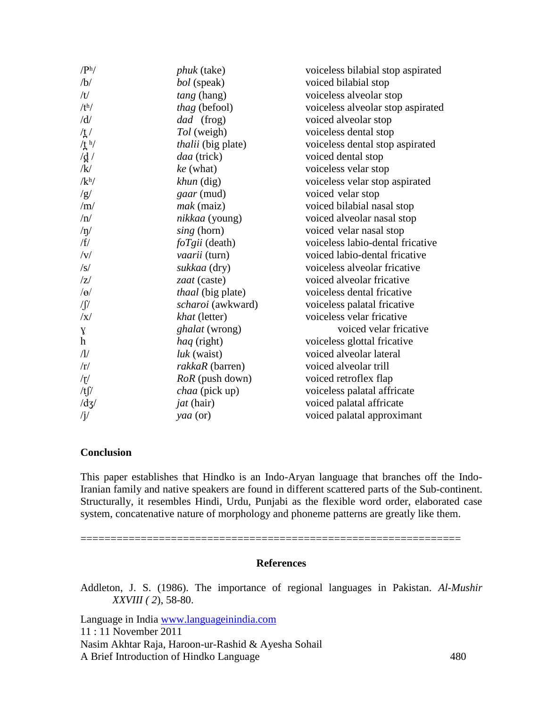| /P <sup>h</sup>     | phuk (take)               | voiceless bilabial stop aspirated |
|---------------------|---------------------------|-----------------------------------|
| /b/                 | bol (speak)               | voiced bilabial stop              |
| /t/                 | tang (hang)               | voiceless alveolar stop           |
| /t <sup>h</sup> /   | thag (befool)             | voiceless alveolar stop aspirated |
| /d/                 | dad (frog)                | voiced alveolar stop              |
| $/$ t $/$           | Tol (weigh)               | voiceless dental stop             |
| $/\underline{t}$ h/ | <i>thalii</i> (big plate) | voiceless dental stop aspirated   |
| $/\underline{d}$ /  | daa (trick)               | voiced dental stop                |
| /k/                 | ke (what)                 | voiceless velar stop              |
| /k <sup>h</sup> /   | $khun$ (dig)              | voiceless velar stop aspirated    |
| /g/                 | <i>gaar</i> (mud)         | voiced velar stop                 |
| /m/                 | $mak$ (maiz)              | voiced bilabial nasal stop        |
| /n/                 | nikkaa (young)            | voiced alveolar nasal stop        |
| $/\eta/$            | <i>sing</i> (horn)        | voiced velar nasal stop           |
| /f/                 | foTgii (death)            | voiceless labio-dental fricative  |
| $/\mathrm{v}/$      | vaarii (turn)             | voiced labio-dental fricative     |
| $\sqrt{s}$          | sukkaa (dry)              | voiceless alveolar fricative      |
| z                   | zaat (caste)              | voiced alveolar fricative         |
| $/ \Theta /$        | <i>thaal</i> (big plate)  | voiceless dental fricative        |
| $\sqrt{2}$          | scharoi (awkward)         | voiceless palatal fricative       |
| $\sqrt{x}$          | khat (letter)             | voiceless velar fricative         |
| $\mathbf{Y}$        | ghalat (wrong)            | voiced velar fricative            |
| $\boldsymbol{h}$    | haq (right)               | voiceless glottal fricative       |
| $\sqrt{l}$          | luk (waist)               | voiced alveolar lateral           |
| /r/                 | rakkaR (barren)           | voiced alveolar trill             |
| $\sqrt{L}$          | <i>RoR</i> (push down)    | voiced retroflex flap             |
| /tʃ/                | chaa (pick up)            | voiceless palatal affricate       |
| $\frac{d}{3}$       | <i>jat</i> (hair)         | voiced palatal affricate          |
| $\sqrt{j}$          | yaa (or)                  | voiced palatal approximant        |

## **Conclusion**

This paper establishes that Hindko is an Indo-Aryan language that branches off the Indo-Iranian family and native speakers are found in different scattered parts of the Sub-continent. Structurally, it resembles Hindi, Urdu, Punjabi as the flexible word order, elaborated case system, concatenative nature of morphology and phoneme patterns are greatly like them.

===============================================================

#### **References**

Addleton, J. S. (1986). The importance of regional languages in Pakistan. *Al-Mushir XXVIII ( 2*), 58-80.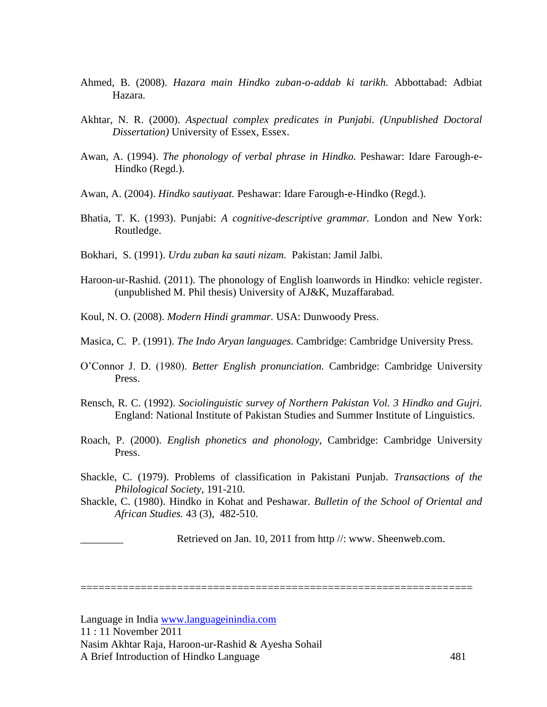- Ahmed, B. (2008). *Hazara main Hindko zuban-o-addab ki tarikh.* Abbottabad: Adbiat Hazara.
- Akhtar, N. R. (2000). *Aspectual complex predicates in Punjabi. (Unpublished Doctoral Dissertation)* University of Essex, Essex.
- Awan, A. (1994). *The phonology of verbal phrase in Hindko.* Peshawar: Idare Farough-e-Hindko (Regd.).
- Awan, A. (2004). *Hindko sautiyaat.* Peshawar: Idare Farough-e-Hindko (Regd.).
- Bhatia, T. K. (1993). Punjabi: *A cognitive-descriptive grammar.* London and New York: Routledge.
- Bokhari, S. (1991). *Urdu zuban ka sauti nizam.* Pakistan: Jamil Jalbi.
- Haroon-ur-Rashid. (2011). The phonology of English loanwords in Hindko: vehicle register. (unpublished M. Phil thesis) University of AJ&K, Muzaffarabad.
- Koul, N. O. (2008). *Modern Hindi grammar.* USA: Dunwoody Press.
- Masica, C. P. (1991). *The Indo Aryan languages.* Cambridge: Cambridge University Press.
- O"Connor J. D. (1980). *Better English pronunciation.* Cambridge: Cambridge University Press.
- Rensch, R. C. (1992). *Sociolinguistic survey of Northern Pakistan Vol. 3 Hindko and Gujri.* England: National Institute of Pakistan Studies and Summer Institute of Linguistics.
- Roach, P. (2000). *English phonetics and phonology*, Cambridge: Cambridge University Press.
- Shackle, C. (1979). Problems of classification in Pakistani Punjab. *Transactions of the Philological Society*, 191-210.
- Shackle, C. (1980). Hindko in Kohat and Peshawar. *Bulletin of the School of Oriental and African Studies.* 43 (3), 482-510.

Retrieved on Jan. 10, 2011 from http //: www. Sheenweb.com.

=================================================================